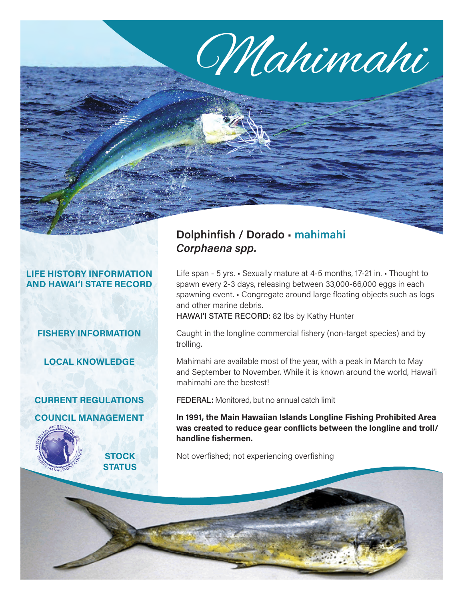# Mahimahi

### **LIFE HISTORY INFORMATION AND HAWAI'I STATE RECORD**

# **FISHERY INFORMATION**

**LOCAL KNOWLEDGE**

# **CURRENT REGULATIONS COUNCIL MANAGEMENT**



# **Dolphinfish / Dorado** • **mahimahi** *Corphaena spp.*

Life span - 5 yrs. • Sexually mature at 4-5 months, 17-21 in. • Thought to spawn every 2-3 days, releasing between 33,000-66,000 eggs in each spawning event. • Congregate around large floating objects such as logs and other marine debris.

HAWAI'I STATE RECORD: 82 lbs by Kathy Hunter

Caught in the longline commercial fishery (non-target species) and by trolling.

Mahimahi are available most of the year, with a peak in March to May and September to November. While it is known around the world, Hawai'i mahimahi are the bestest!

FEDERAL: Monitored, but no annual catch limit

**In 1991, the Main Hawaiian Islands Longline Fishing Prohibited Area was created to reduce gear conflicts between the longline and troll/ handline fishermen.** 

Not overfished; not experiencing overfishing